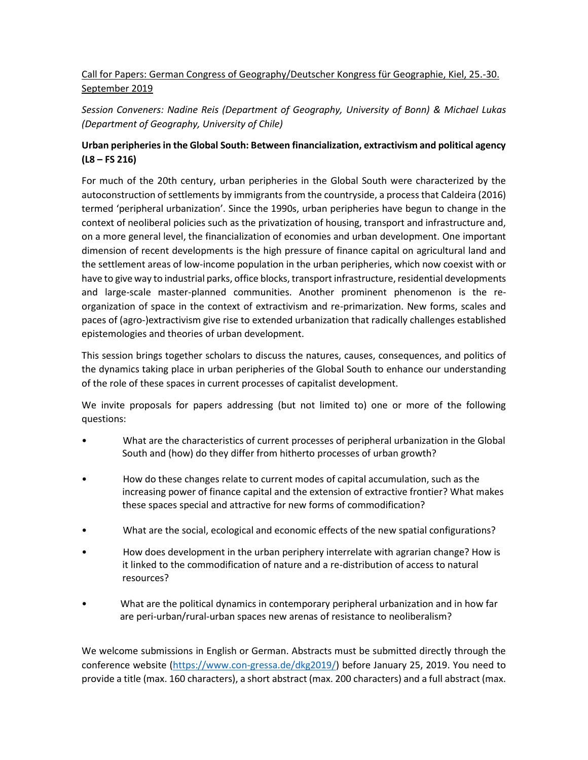## Call for Papers: German Congress of Geography/Deutscher Kongress für Geographie, Kiel, 25.-30. September 2019

*Session Conveners: Nadine Reis (Department of Geography, University of Bonn) & Michael Lukas (Department of Geography, University of Chile)* 

## **Urban peripheries in the Global South: Between financialization, extractivism and political agency (L8 – FS 216)**

For much of the 20th century, urban peripheries in the Global South were characterized by the autoconstruction of settlements by immigrants from the countryside, a process that Caldeira (2016) termed 'peripheral urbanization'. Since the 1990s, urban peripheries have begun to change in the context of neoliberal policies such as the privatization of housing, transport and infrastructure and, on a more general level, the financialization of economies and urban development. One important dimension of recent developments is the high pressure of finance capital on agricultural land and the settlement areas of low-income population in the urban peripheries, which now coexist with or have to give way to industrial parks, office blocks, transport infrastructure, residential developments and large-scale master-planned communities. Another prominent phenomenon is the reorganization of space in the context of extractivism and re-primarization. New forms, scales and paces of (agro-)extractivism give rise to extended urbanization that radically challenges established epistemologies and theories of urban development.

This session brings together scholars to discuss the natures, causes, consequences, and politics of the dynamics taking place in urban peripheries of the Global South to enhance our understanding of the role of these spaces in current processes of capitalist development.

We invite proposals for papers addressing (but not limited to) one or more of the following questions:

- What are the characteristics of current processes of peripheral urbanization in the Global South and (how) do they differ from hitherto processes of urban growth?
- How do these changes relate to current modes of capital accumulation, such as the increasing power of finance capital and the extension of extractive frontier? What makes these spaces special and attractive for new forms of commodification?
- What are the social, ecological and economic effects of the new spatial configurations?
- How does development in the urban periphery interrelate with agrarian change? How is it linked to the commodification of nature and a re-distribution of access to natural resources?
- What are the political dynamics in contemporary peripheral urbanization and in how far are peri-urban/rural-urban spaces new arenas of resistance to neoliberalism?

We welcome submissions in English or German. Abstracts must be submitted directly through the conference website [\(https://www.con-gressa.de/dkg2019/\)](https://www.con-gressa.de/dkg2019/) before January 25, 2019. You need to provide a title (max. 160 characters), a short abstract (max. 200 characters) and a full abstract (max.